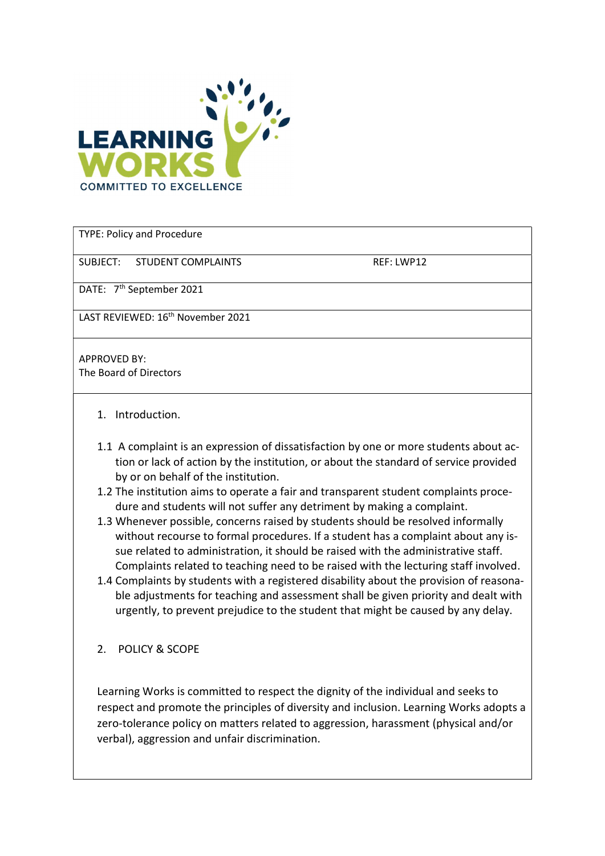

TYPE: Policy and Procedure

SUBJECT: STUDENT COMPLAINTS REF: LWP12

DATE: 7<sup>th</sup> September 2021

LAST REVIEWED: 16th November 2021

APPROVED BY: The Board of Directors

- 1. Introduction.
- 1.1 A complaint is an expression of dissatisfaction by one or more students about action or lack of action by the institution, or about the standard of service provided by or on behalf of the institution.
- 1.2 The institution aims to operate a fair and transparent student complaints procedure and students will not suffer any detriment by making a complaint.
- 1.3 Whenever possible, concerns raised by students should be resolved informally without recourse to formal procedures. If a student has a complaint about any issue related to administration, it should be raised with the administrative staff. Complaints related to teaching need to be raised with the lecturing staff involved.
- 1.4 Complaints by students with a registered disability about the provision of reasonable adjustments for teaching and assessment shall be given priority and dealt with urgently, to prevent prejudice to the student that might be caused by any delay.
- 2. POLICY & SCOPE

Learning Works is committed to respect the dignity of the individual and seeks to respect and promote the principles of diversity and inclusion. Learning Works adopts a zero-tolerance policy on matters related to aggression, harassment (physical and/or verbal), aggression and unfair discrimination.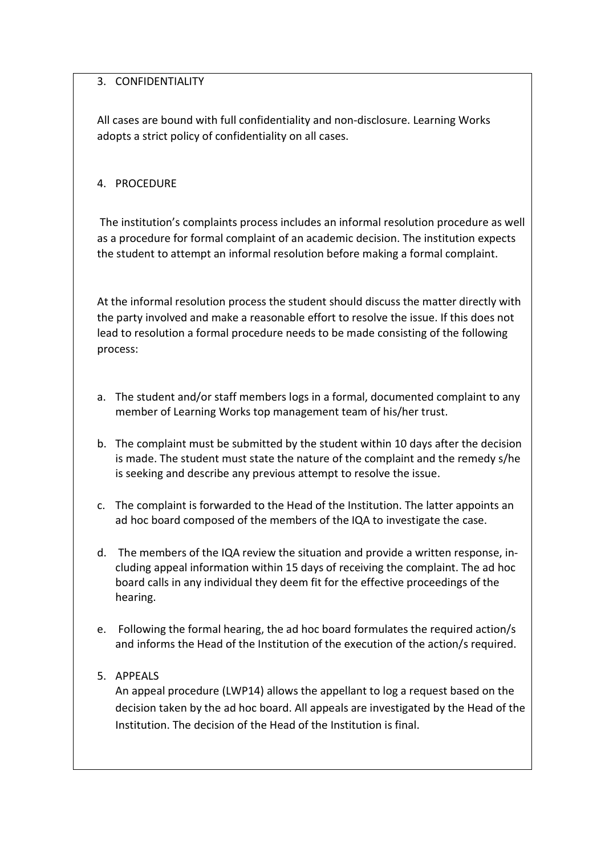## 3. CONFIDENTIALITY

All cases are bound with full confidentiality and non-disclosure. Learning Works adopts a strict policy of confidentiality on all cases.

## 4. PROCEDURE

 The institution's complaints process includes an informal resolution procedure as well as a procedure for formal complaint of an academic decision. The institution expects the student to attempt an informal resolution before making a formal complaint.

At the informal resolution process the student should discuss the matter directly with the party involved and make a reasonable effort to resolve the issue. If this does not lead to resolution a formal procedure needs to be made consisting of the following process:

- a. The student and/or staff members logs in a formal, documented complaint to any member of Learning Works top management team of his/her trust.
- b. The complaint must be submitted by the student within 10 days after the decision is made. The student must state the nature of the complaint and the remedy s/he is seeking and describe any previous attempt to resolve the issue.
- c. The complaint is forwarded to the Head of the Institution. The latter appoints an ad hoc board composed of the members of the IQA to investigate the case.
- d. The members of the IQA review the situation and provide a written response, including appeal information within 15 days of receiving the complaint. The ad hoc board calls in any individual they deem fit for the effective proceedings of the hearing.
- e. Following the formal hearing, the ad hoc board formulates the required action/s and informs the Head of the Institution of the execution of the action/s required.

# 5. APPEALS

An appeal procedure (LWP14) allows the appellant to log a request based on the decision taken by the ad hoc board. All appeals are investigated by the Head of the Institution. The decision of the Head of the Institution is final.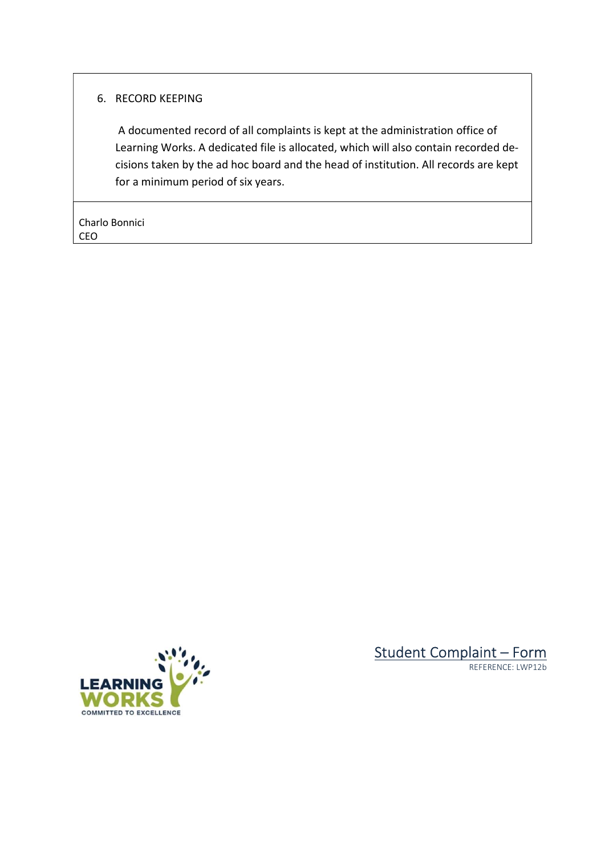### 6. RECORD KEEPING

 A documented record of all complaints is kept at the administration office of Learning Works. A dedicated file is allocated, which will also contain recorded decisions taken by the ad hoc board and the head of institution. All records are kept for a minimum period of six years.

Charlo Bonnici CEO





REFERENCE: LWP12b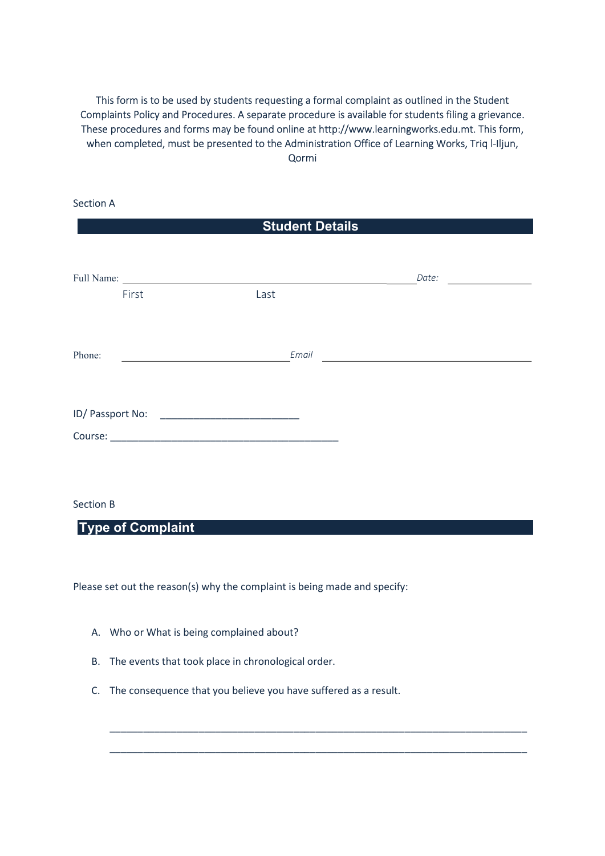This form is to be used by students requesting a formal complaint as outlined in the Student Complaints Policy and Procedures. A separate procedure is available for students filing a grievance. These procedures and forms may be found online at http://www.learningworks.edu.mt. This form, when completed, must be presented to the Administration Office of Learning Works, Triq l-Iljun, Qormi

| <b>Section A</b> |       |                                                                                                                      |       |  |
|------------------|-------|----------------------------------------------------------------------------------------------------------------------|-------|--|
|                  |       | <b>Student Details</b>                                                                                               |       |  |
|                  |       |                                                                                                                      |       |  |
| Full Name:       |       | <u> 1980 - Jan Stein Stein Stein Stein Stein Stein Stein Stein Stein Stein Stein Stein Stein Stein Stein Stein S</u> | Date: |  |
|                  | First | Last                                                                                                                 |       |  |
|                  |       |                                                                                                                      |       |  |
|                  |       |                                                                                                                      |       |  |
| Phone:           |       | Email                                                                                                                |       |  |
|                  |       |                                                                                                                      |       |  |
| ID/ Passport No: |       |                                                                                                                      |       |  |
|                  |       |                                                                                                                      |       |  |

#### Section B

Type of Complaint

Please set out the reason(s) why the complaint is being made and specify:

- A. Who or What is being complained about?
- B. The events that took place in chronological order.
- C. The consequence that you believe you have suffered as a result.

\_\_\_\_\_\_\_\_\_\_\_\_\_\_\_\_\_\_\_\_\_\_\_\_\_\_\_\_\_\_\_\_\_\_\_\_\_\_\_\_\_\_\_\_\_\_\_\_\_\_\_\_\_\_\_\_\_\_\_\_\_\_\_\_\_\_\_\_\_\_\_\_\_\_\_

\_\_\_\_\_\_\_\_\_\_\_\_\_\_\_\_\_\_\_\_\_\_\_\_\_\_\_\_\_\_\_\_\_\_\_\_\_\_\_\_\_\_\_\_\_\_\_\_\_\_\_\_\_\_\_\_\_\_\_\_\_\_\_\_\_\_\_\_\_\_\_\_\_\_\_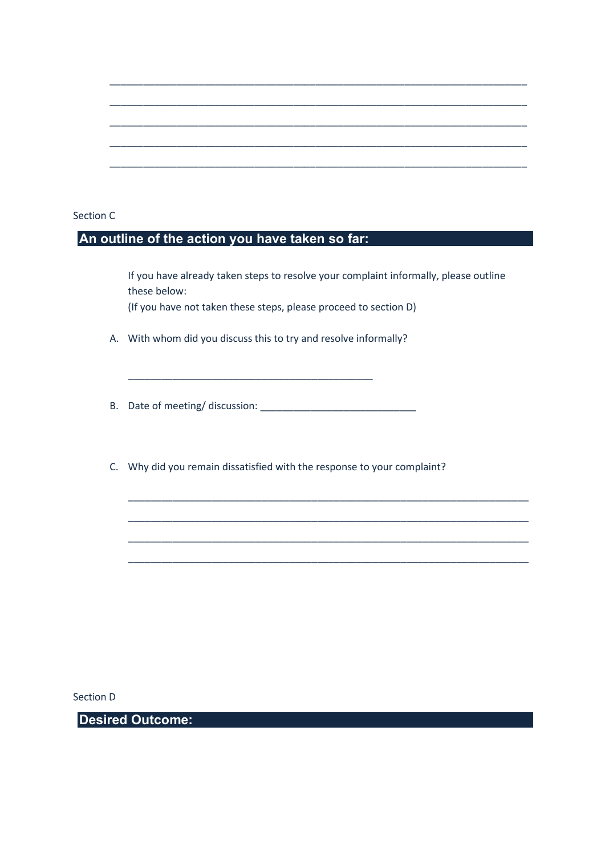#### Section C

### An outline of the action you have taken so far:

If you have already taken steps to resolve your complaint informally, please outline these below: (If you have not taken these steps, please proceed to section D)

\_\_\_\_\_\_\_\_\_\_\_\_\_\_\_\_\_\_\_\_\_\_\_\_\_\_\_\_\_\_\_\_\_\_\_\_\_\_\_\_\_\_\_\_\_\_\_\_\_\_\_\_\_\_\_\_\_\_\_\_\_\_\_\_\_\_\_\_\_\_\_\_

\_\_\_\_\_\_\_\_\_\_\_\_\_\_\_\_\_\_\_\_\_\_\_\_\_\_\_\_\_\_\_\_\_\_\_\_\_\_\_\_\_\_\_\_\_\_\_\_\_\_\_\_\_\_\_\_\_\_\_\_\_\_\_\_\_\_\_\_\_\_\_\_

\_\_\_\_\_\_\_\_\_\_\_\_\_\_\_\_\_\_\_\_\_\_\_\_\_\_\_\_\_\_\_\_\_\_\_\_\_\_\_\_\_\_\_\_\_\_\_\_\_\_\_\_\_\_\_\_\_\_\_\_\_\_\_\_\_\_\_\_\_\_\_\_

\_\_\_\_\_\_\_\_\_\_\_\_\_\_\_\_\_\_\_\_\_\_\_\_\_\_\_\_\_\_\_\_\_\_\_\_\_\_\_\_\_\_\_\_\_\_\_\_\_\_\_\_\_\_\_\_\_\_\_\_\_\_\_\_\_\_\_\_\_\_\_\_

\_\_\_\_\_\_\_\_\_\_\_\_\_\_\_\_\_\_\_\_\_\_\_\_\_\_\_\_\_\_\_\_\_\_\_\_\_\_\_\_\_\_\_\_\_\_\_\_\_\_\_\_\_\_\_\_\_\_\_\_\_\_\_\_\_\_\_\_\_\_\_\_\_\_\_

\_\_\_\_\_\_\_\_\_\_\_\_\_\_\_\_\_\_\_\_\_\_\_\_\_\_\_\_\_\_\_\_\_\_\_\_\_\_\_\_\_\_\_\_\_\_\_\_\_\_\_\_\_\_\_\_\_\_\_\_\_\_\_\_\_\_\_\_\_\_\_\_\_\_\_

\_\_\_\_\_\_\_\_\_\_\_\_\_\_\_\_\_\_\_\_\_\_\_\_\_\_\_\_\_\_\_\_\_\_\_\_\_\_\_\_\_\_\_\_\_\_\_\_\_\_\_\_\_\_\_\_\_\_\_\_\_\_\_\_\_\_\_\_\_\_\_\_\_\_\_

\_\_\_\_\_\_\_\_\_\_\_\_\_\_\_\_\_\_\_\_\_\_\_\_\_\_\_\_\_\_\_\_\_\_\_\_\_\_\_\_\_\_\_\_\_\_\_\_\_\_\_\_\_\_\_\_\_\_\_\_\_\_\_\_\_\_\_\_\_\_\_\_\_\_\_

\_\_\_\_\_\_\_\_\_\_\_\_\_\_\_\_\_\_\_\_\_\_\_\_\_\_\_\_\_\_\_\_\_\_\_\_\_\_\_\_\_\_\_\_\_\_\_\_\_\_\_\_\_\_\_\_\_\_\_\_\_\_\_\_\_\_\_\_\_\_\_\_\_\_\_

A. With whom did you discuss this to try and resolve informally?

\_\_\_\_\_\_\_\_\_\_\_\_\_\_\_\_\_\_\_\_\_\_\_\_\_\_\_\_\_\_\_\_\_\_\_\_\_\_\_\_\_\_\_\_

- B. Date of meeting/ discussion:
- C. Why did you remain dissatisfied with the response to your complaint?

Section D

Desired Outcome: